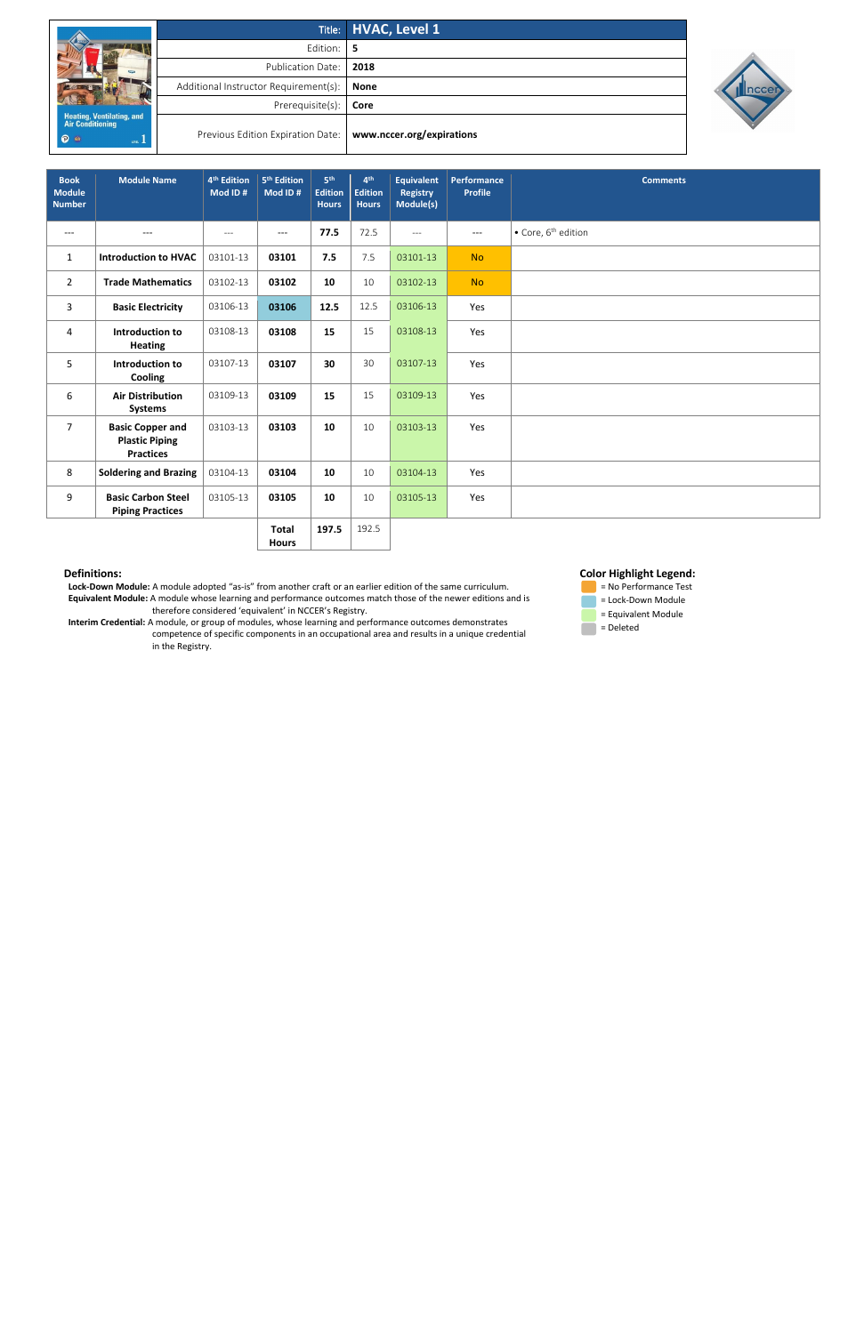|                                                       |                                       | Title: HVAC, Level 1      |  |  |  |
|-------------------------------------------------------|---------------------------------------|---------------------------|--|--|--|
| $-1$                                                  | Edition:                              | -5                        |  |  |  |
|                                                       | <b>Publication Date:</b>              | 2018                      |  |  |  |
|                                                       | Additional Instructor Requirement(s): | <b>None</b>               |  |  |  |
|                                                       | Prerequisite(s):                      | Core                      |  |  |  |
| <b>Heating, Ventilating, and<br/>Air Conditioning</b> |                                       |                           |  |  |  |
| <b>P</b><br>LEVEL 1                                   | Previous Edition Expiration Date:     | www.nccer.org/expirations |  |  |  |



 **Lock-Down Module:** A module adopted "as-is" from another craft or an earlier edition of the same curriculum. **Equivalent Module:** A module whose learning and performance outcomes match those of the newer editions and is therefore considered 'equivalent' in NCCER's Registry.

 = No Performance Test **Example 2** Lock-Down Module = Equivalent Module  $\blacksquare$  = Deleted

 **Interim Credential:** A module, or group of modules, whose learning and performance outcomes demonstrates competence of specific components in an occupational area and results in a unique credential in the Registry.

# **Color Highlight Legend:**

| <b>Book</b><br><b>Module</b><br><b>Number</b> | <b>Module Name</b>                                                   | 4 <sup>th</sup> Edition<br>Mod ID# | 5 <sup>th</sup> Edition<br>Mod ID# | 5th<br><b>Edition</b><br><b>Hours</b> | 4 <sup>th</sup><br><b>Edition</b><br><b>Hours</b> | <b>Equivalent</b><br>Registry<br>Module(s) | <b>Performance</b><br><b>Profile</b> | <b>Comments</b>                         |
|-----------------------------------------------|----------------------------------------------------------------------|------------------------------------|------------------------------------|---------------------------------------|---------------------------------------------------|--------------------------------------------|--------------------------------------|-----------------------------------------|
| $\qquad \qquad - -$                           | $---$                                                                | $---$                              | $---$                              | 77.5                                  | 72.5                                              | $---$                                      | $---$                                | $\bullet$ Core, 6 <sup>th</sup> edition |
| $\mathbf{1}$                                  | <b>Introduction to HVAC</b>                                          | 03101-13                           | 03101                              | 7.5                                   | 7.5                                               | 03101-13                                   | <b>No</b>                            |                                         |
| $\overline{2}$                                | <b>Trade Mathematics</b>                                             | 03102-13                           | 03102                              | 10                                    | 10                                                | 03102-13                                   | <b>No</b>                            |                                         |
| $\mathbf{3}$                                  | <b>Basic Electricity</b>                                             | 03106-13                           | 03106                              | 12.5                                  | 12.5                                              | 03106-13                                   | Yes                                  |                                         |
| 4                                             | Introduction to<br><b>Heating</b>                                    | 03108-13                           | 03108                              | 15                                    | 15                                                | 03108-13                                   | Yes                                  |                                         |
| 5                                             | Introduction to<br>Cooling                                           | 03107-13                           | 03107                              | 30                                    | 30                                                | 03107-13                                   | Yes                                  |                                         |
| 6                                             | <b>Air Distribution</b><br><b>Systems</b>                            | 03109-13                           | 03109                              | 15                                    | 15                                                | 03109-13                                   | Yes                                  |                                         |
| $\overline{7}$                                | <b>Basic Copper and</b><br><b>Plastic Piping</b><br><b>Practices</b> | 03103-13                           | 03103                              | 10                                    | 10                                                | 03103-13                                   | Yes                                  |                                         |
| 8                                             | <b>Soldering and Brazing</b>                                         | 03104-13                           | 03104                              | 10                                    | 10                                                | 03104-13                                   | Yes                                  |                                         |
| 9                                             | <b>Basic Carbon Steel</b><br><b>Piping Practices</b>                 | 03105-13                           | 03105                              | 10                                    | 10                                                | 03105-13                                   | Yes                                  |                                         |
|                                               |                                                                      |                                    | <b>Total</b>                       | 197.5                                 | 192.5                                             |                                            |                                      |                                         |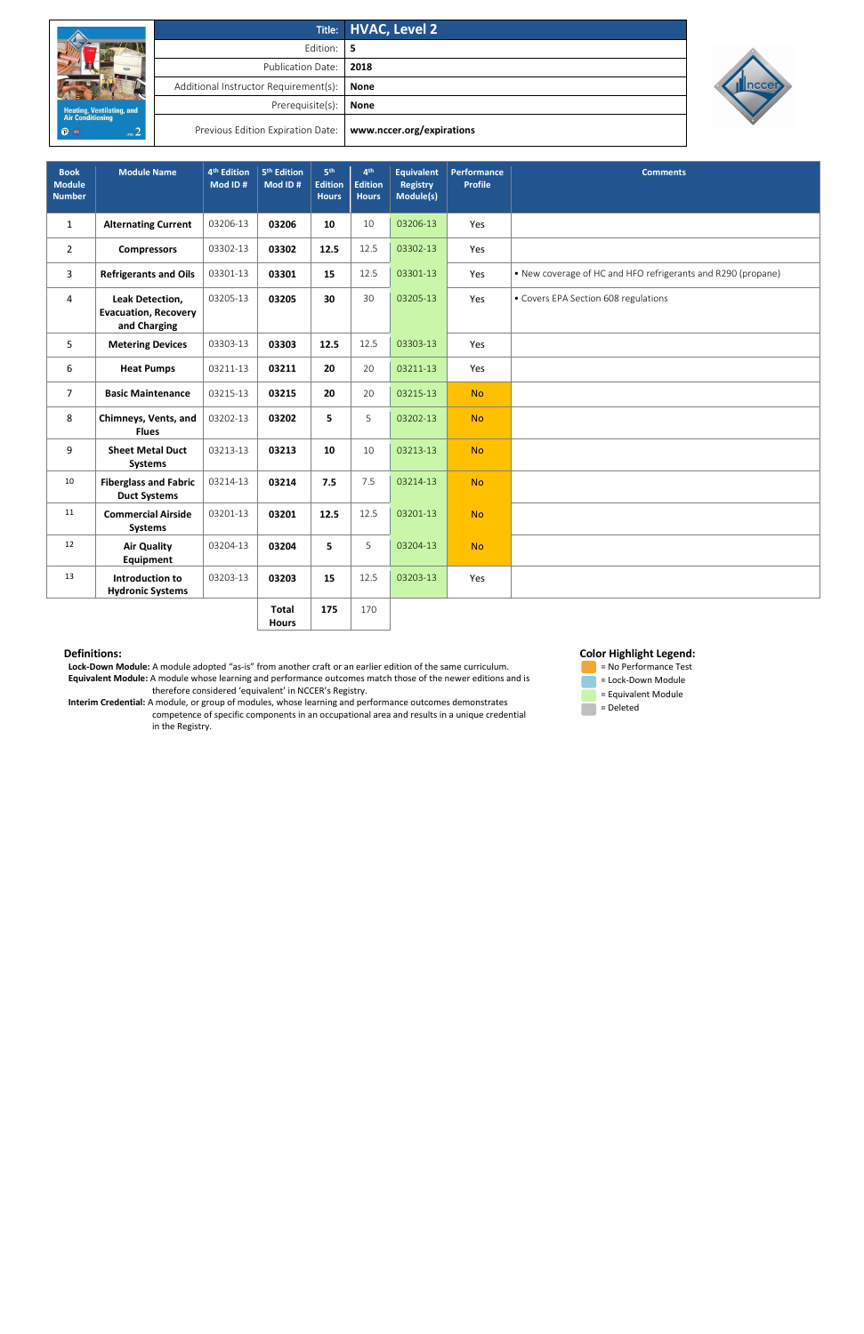|                                               |                                       | Title: HVAC, Level 2      |
|-----------------------------------------------|---------------------------------------|---------------------------|
| Heating, Ventilating, and<br>Air Conditioning | Edition: 5                            |                           |
|                                               | Publication Date:                     | 2018                      |
|                                               | Additional Instructor Requirement(s): | <b>None</b>               |
|                                               | Prerequisite(s):                      | <b>None</b>               |
| <b>P</b><br>um <sub>2</sub>                   | Previous Edition Expiration Date:     | www.nccer.org/expirations |



 **Lock-Down Module:** A module adopted "as-is" from another craft or an earlier edition of the same curriculum. **Equivalent Module:** A module whose learning and performance outcomes match those of the newer editions and is therefore considered 'equivalent' in NCCER's Registry.

 **Interim Credential:** A module, or group of modules, whose learning and performance outcomes demonstrates competence of specific components in an occupational area and results in a unique credential in the Registry.

## **Color Highlight Legend:**



| <b>Book</b><br><b>Module</b><br><b>Number</b> | <b>Module Name</b>                                             | 4 <sup>th</sup> Edition<br>Mod ID# | 5 <sup>th</sup> Edition<br>Mod ID# | 5 <sup>th</sup><br><b>Edition</b><br><b>Hours</b> | 4 <sup>th</sup><br><b>Edition</b><br><b>Hours</b> | <b>Equivalent</b><br><b>Registry</b><br>Module(s) | Performance<br><b>Profile</b> | <b>Comments</b>                                              |
|-----------------------------------------------|----------------------------------------------------------------|------------------------------------|------------------------------------|---------------------------------------------------|---------------------------------------------------|---------------------------------------------------|-------------------------------|--------------------------------------------------------------|
| $\mathbf{1}$                                  | <b>Alternating Current</b>                                     | 03206-13                           | 03206                              | 10                                                | $10\,$                                            | 03206-13                                          | Yes                           |                                                              |
| $\overline{2}$                                | <b>Compressors</b>                                             | 03302-13                           | 03302                              | 12.5                                              | 12.5                                              | 03302-13                                          | Yes                           |                                                              |
| 3                                             | <b>Refrigerants and Oils</b>                                   | 03301-13                           | 03301                              | 15                                                | 12.5                                              | 03301-13                                          | Yes                           | • New coverage of HC and HFO refrigerants and R290 (propane) |
| 4                                             | Leak Detection,<br><b>Evacuation, Recovery</b><br>and Charging | 03205-13                           | 03205                              | 30                                                | 30                                                | 03205-13                                          | Yes                           | • Covers EPA Section 608 regulations                         |
| 5                                             | <b>Metering Devices</b>                                        | 03303-13                           | 03303                              | 12.5                                              | 12.5                                              | 03303-13                                          | Yes                           |                                                              |
| 6                                             | <b>Heat Pumps</b>                                              | 03211-13                           | 03211                              | 20                                                | 20                                                | 03211-13                                          | Yes                           |                                                              |
| $\overline{7}$                                | <b>Basic Maintenance</b>                                       | 03215-13                           | 03215                              | 20                                                | 20                                                | 03215-13                                          | <b>No</b>                     |                                                              |
| 8                                             | Chimneys, Vents, and<br><b>Flues</b>                           | 03202-13                           | 03202                              | 5                                                 | 5                                                 | 03202-13                                          | <b>No</b>                     |                                                              |
| 9                                             | <b>Sheet Metal Duct</b><br>Systems                             | 03213-13                           | 03213                              | 10                                                | 10                                                | 03213-13                                          | <b>No</b>                     |                                                              |
| 10                                            | <b>Fiberglass and Fabric</b><br><b>Duct Systems</b>            | 03214-13                           | 03214                              | 7.5                                               | 7.5                                               | 03214-13                                          | <b>No</b>                     |                                                              |
| 11                                            | <b>Commercial Airside</b><br><b>Systems</b>                    | 03201-13                           | 03201                              | 12.5                                              | 12.5                                              | 03201-13                                          | <b>No</b>                     |                                                              |
| 12                                            | <b>Air Quality</b><br><b>Equipment</b>                         | 03204-13                           | 03204                              | 5                                                 | 5                                                 | 03204-13                                          | <b>No</b>                     |                                                              |
| 13                                            | Introduction to<br><b>Hydronic Systems</b>                     | 03203-13                           | 03203                              | 15                                                | 12.5                                              | 03203-13                                          | Yes                           |                                                              |
|                                               |                                                                |                                    | <b>Total</b>                       | 175                                               | 170                                               |                                                   |                               |                                                              |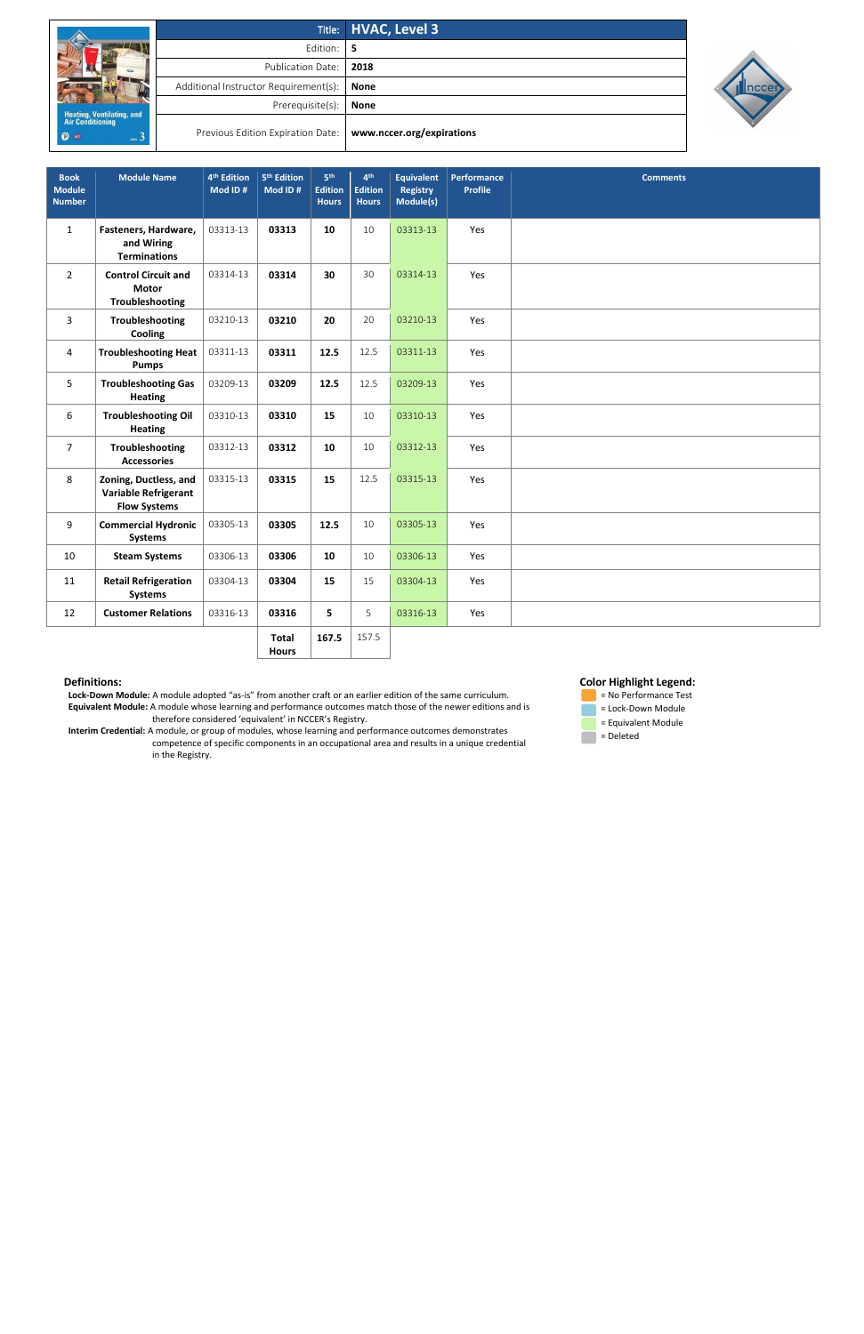|                                                                               |                                       | Title: HVAC, Level 3      |  |  |  |  |
|-------------------------------------------------------------------------------|---------------------------------------|---------------------------|--|--|--|--|
|                                                                               | Edition: I                            | -5                        |  |  |  |  |
|                                                                               | Publication Date:                     | 2018                      |  |  |  |  |
|                                                                               | Additional Instructor Requirement(s): | None                      |  |  |  |  |
|                                                                               | Prerequisite(s):                      | <b>None</b>               |  |  |  |  |
| <b>Heating, Ventilating, and<br/>Air Conditioning</b><br><b>P</b> an<br>uva 3 | Previous Edition Expiration Date:     | www.nccer.org/expirations |  |  |  |  |



 **Lock-Down Module:** A module adopted "as-is" from another craft or an earlier edition of the same curriculum. **Equivalent Module:** A module whose learning and performance outcomes match those of the newer editions and is therefore considered 'equivalent' in NCCER's Registry.

 **Interim Credential:** A module, or group of modules, whose learning and performance outcomes demonstrates competence of specific components in an occupational area and results in a unique credential in the Registry.

 **Color Highlight Legend:**

 = No Performance Test = Lock-Down Module = Equivalent Module = Deleted

| <b>Book</b><br><b>Module</b><br><b>Number</b> | <b>Module Name</b>                                                          | 4 <sup>th</sup> Edition<br>Mod ID# | 5 <sup>th</sup> Edition<br>Mod ID# | 5 <sup>th</sup><br><b>Edition</b><br><b>Hours</b> | 4 <sup>th</sup><br><b>Edition</b><br><b>Hours</b> | <b>Equivalent</b><br><b>Registry</b><br>Module(s) | Performance<br><b>Profile</b> | <b>Comments</b> |
|-----------------------------------------------|-----------------------------------------------------------------------------|------------------------------------|------------------------------------|---------------------------------------------------|---------------------------------------------------|---------------------------------------------------|-------------------------------|-----------------|
| $\mathbf{1}$                                  | Fasteners, Hardware,<br>and Wiring<br><b>Terminations</b>                   | 03313-13                           | 03313                              | 10                                                | 10                                                | 03313-13                                          | Yes                           |                 |
| $2^{\circ}$                                   | <b>Control Circuit and</b><br><b>Motor</b><br>Troubleshooting               | 03314-13                           | 03314                              | 30                                                | 30                                                | 03314-13                                          | Yes                           |                 |
| 3                                             | Troubleshooting<br>Cooling                                                  | 03210-13                           | 03210                              | 20                                                | 20                                                | 03210-13                                          | Yes                           |                 |
| 4                                             | <b>Troubleshooting Heat</b><br><b>Pumps</b>                                 | 03311-13                           | 03311                              | 12.5                                              | 12.5                                              | 03311-13                                          | Yes                           |                 |
| 5                                             | <b>Troubleshooting Gas</b><br><b>Heating</b>                                | 03209-13                           | 03209                              | 12.5                                              | 12.5                                              | 03209-13                                          | Yes                           |                 |
| 6                                             | <b>Troubleshooting Oil</b><br><b>Heating</b>                                | 03310-13                           | 03310                              | 15                                                | 10                                                | 03310-13                                          | Yes                           |                 |
| $\overline{7}$                                | Troubleshooting<br><b>Accessories</b>                                       | 03312-13                           | 03312                              | 10                                                | 10                                                | 03312-13                                          | Yes                           |                 |
| 8                                             | Zoning, Ductless, and<br><b>Variable Refrigerant</b><br><b>Flow Systems</b> | 03315-13                           | 03315                              | 15                                                | 12.5                                              | 03315-13                                          | Yes                           |                 |
| 9                                             | <b>Commercial Hydronic</b><br><b>Systems</b>                                | 03305-13                           | 03305                              | 12.5                                              | 10                                                | 03305-13                                          | Yes                           |                 |
| 10                                            | <b>Steam Systems</b>                                                        | 03306-13                           | 03306                              | 10                                                | 10                                                | 03306-13                                          | Yes                           |                 |
| 11                                            | <b>Retail Refrigeration</b><br><b>Systems</b>                               | 03304-13                           | 03304                              | 15                                                | 15                                                | 03304-13                                          | Yes                           |                 |
| 12                                            | <b>Customer Relations</b>                                                   | 03316-13                           | 03316                              | 5                                                 | 5                                                 | 03316-13                                          | Yes                           |                 |
|                                               |                                                                             |                                    | <b>Total</b>                       | 167.5                                             | 157.5                                             |                                                   |                               |                 |